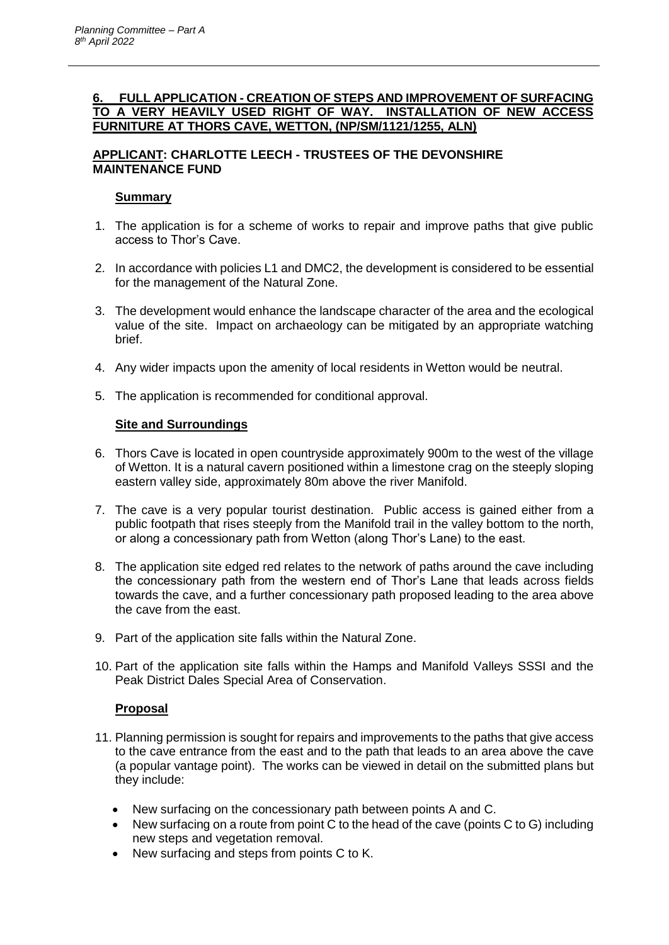### **6. FULL APPLICATION - CREATION OF STEPS AND IMPROVEMENT OF SURFACING TO A VERY HEAVILY USED RIGHT OF WAY. INSTALLATION OF NEW ACCESS FURNITURE AT THORS CAVE, WETTON, (NP/SM/1121/1255, ALN)**

# **APPLICANT: CHARLOTTE LEECH - TRUSTEES OF THE DEVONSHIRE MAINTENANCE FUND**

# **Summary**

- 1. The application is for a scheme of works to repair and improve paths that give public access to Thor's Cave.
- 2. In accordance with policies L1 and DMC2, the development is considered to be essential for the management of the Natural Zone.
- 3. The development would enhance the landscape character of the area and the ecological value of the site. Impact on archaeology can be mitigated by an appropriate watching brief.
- 4. Any wider impacts upon the amenity of local residents in Wetton would be neutral.
- 5. The application is recommended for conditional approval.

# **Site and Surroundings**

- 6. Thors Cave is located in open countryside approximately 900m to the west of the village of Wetton. It is a natural cavern positioned within a limestone crag on the steeply sloping eastern valley side, approximately 80m above the river Manifold.
- 7. The cave is a very popular tourist destination. Public access is gained either from a public footpath that rises steeply from the Manifold trail in the valley bottom to the north, or along a concessionary path from Wetton (along Thor's Lane) to the east.
- 8. The application site edged red relates to the network of paths around the cave including the concessionary path from the western end of Thor's Lane that leads across fields towards the cave, and a further concessionary path proposed leading to the area above the cave from the east.
- 9. Part of the application site falls within the Natural Zone.
- 10. Part of the application site falls within the Hamps and Manifold Valleys SSSI and the Peak District Dales Special Area of Conservation.

# **Proposal**

- 11. Planning permission is sought for repairs and improvements to the paths that give access to the cave entrance from the east and to the path that leads to an area above the cave (a popular vantage point). The works can be viewed in detail on the submitted plans but they include:
	- New surfacing on the concessionary path between points A and C.
	- New surfacing on a route from point C to the head of the cave (points C to G) including new steps and vegetation removal.
	- New surfacing and steps from points C to K.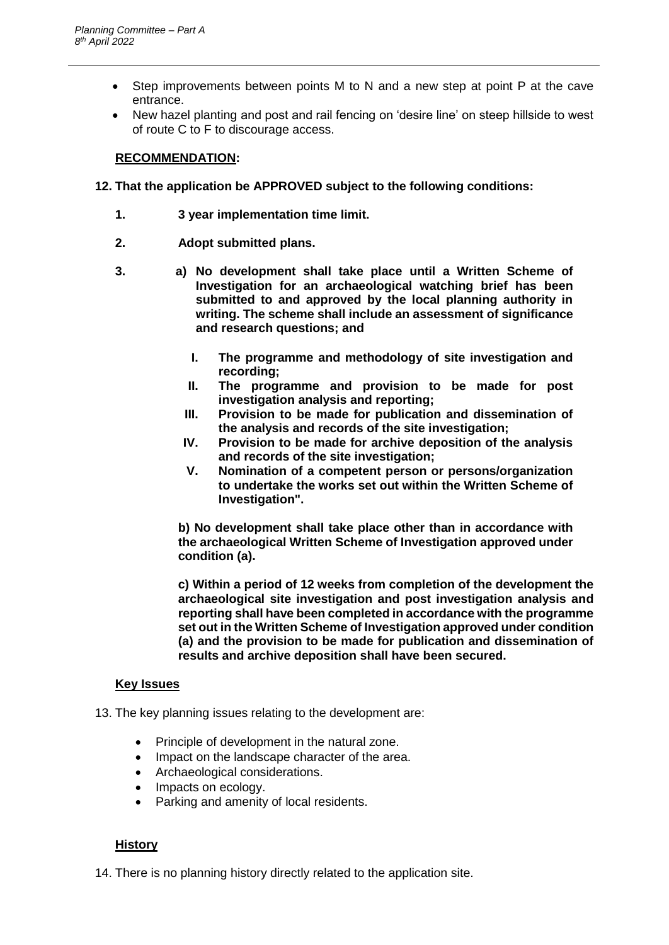- Step improvements between points M to N and a new step at point P at the cave entrance.
- New hazel planting and post and rail fencing on 'desire line' on steep hillside to west of route C to F to discourage access.

## **RECOMMENDATION:**

- **12. That the application be APPROVED subject to the following conditions:**
	- **1. 3 year implementation time limit.**
	- **2. Adopt submitted plans.**
	- **3. a) No development shall take place until a Written Scheme of Investigation for an archaeological watching brief has been submitted to and approved by the local planning authority in writing. The scheme shall include an assessment of significance and research questions; and** 
		- **I. The programme and methodology of site investigation and recording;**
		- **II. The programme and provision to be made for post investigation analysis and reporting;**
		- **III. Provision to be made for publication and dissemination of the analysis and records of the site investigation;**
		- **IV. Provision to be made for archive deposition of the analysis and records of the site investigation;**
		- **V. Nomination of a competent person or persons/organization to undertake the works set out within the Written Scheme of Investigation".**

**b) No development shall take place other than in accordance with the archaeological Written Scheme of Investigation approved under condition (a).**

**c) Within a period of 12 weeks from completion of the development the archaeological site investigation and post investigation analysis and reporting shall have been completed in accordance with the programme set out in the Written Scheme of Investigation approved under condition (a) and the provision to be made for publication and dissemination of results and archive deposition shall have been secured.**

### **Key Issues**

13. The key planning issues relating to the development are:

- Principle of development in the natural zone.
- Impact on the landscape character of the area.
- Archaeological considerations.
- Impacts on ecology.
- Parking and amenity of local residents.

### **History**

14. There is no planning history directly related to the application site.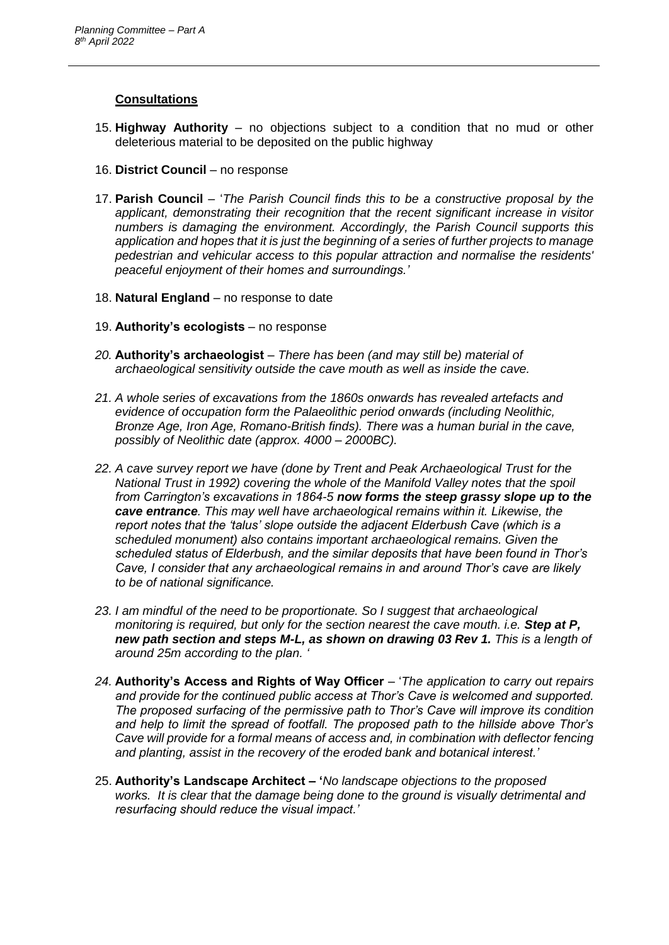### **Consultations**

- 15. **Highway Authority** no objections subject to a condition that no mud or other deleterious material to be deposited on the public highway
- 16. **District Council** no response
- 17. **Parish Council** '*The Parish Council finds this to be a constructive proposal by the applicant, demonstrating their recognition that the recent significant increase in visitor numbers is damaging the environment. Accordingly, the Parish Council supports this application and hopes that it is just the beginning of a series of further projects to manage pedestrian and vehicular access to this popular attraction and normalise the residents' peaceful enjoyment of their homes and surroundings.'*
- 18. **Natural England** no response to date
- 19. **Authority's ecologists** no response
- *20.* **Authority's archaeologist** *– There has been (and may still be) material of archaeological sensitivity outside the cave mouth as well as inside the cave.*
- *21. A whole series of excavations from the 1860s onwards has revealed artefacts and evidence of occupation form the Palaeolithic period onwards (including Neolithic, Bronze Age, Iron Age, Romano-British finds). There was a human burial in the cave, possibly of Neolithic date (approx. 4000 – 2000BC).*
- *22. A cave survey report we have (done by Trent and Peak Archaeological Trust for the National Trust in 1992) covering the whole of the Manifold Valley notes that the spoil from Carrington's excavations in 1864-5 now forms the steep grassy slope up to the cave entrance. This may well have archaeological remains within it. Likewise, the report notes that the 'talus' slope outside the adjacent Elderbush Cave (which is a scheduled monument) also contains important archaeological remains. Given the scheduled status of Elderbush, and the similar deposits that have been found in Thor's Cave, I consider that any archaeological remains in and around Thor's cave are likely to be of national significance.*
- *23. I am mindful of the need to be proportionate. So I suggest that archaeological monitoring is required, but only for the section nearest the cave mouth. i.e. Step at P, new path section and steps M-L, as shown on drawing 03 Rev 1. This is a length of around 25m according to the plan. '*
- *24.* **Authority's Access and Rights of Way Officer** '*The application to carry out repairs and provide for the continued public access at Thor's Cave is welcomed and supported. The proposed surfacing of the permissive path to Thor's Cave will improve its condition and help to limit the spread of footfall. The proposed path to the hillside above Thor's Cave will provide for a formal means of access and, in combination with deflector fencing and planting, assist in the recovery of the eroded bank and botanical interest.'*
- 25. **Authority's Landscape Architect – '***No landscape objections to the proposed works. It is clear that the damage being done to the ground is visually detrimental and resurfacing should reduce the visual impact.'*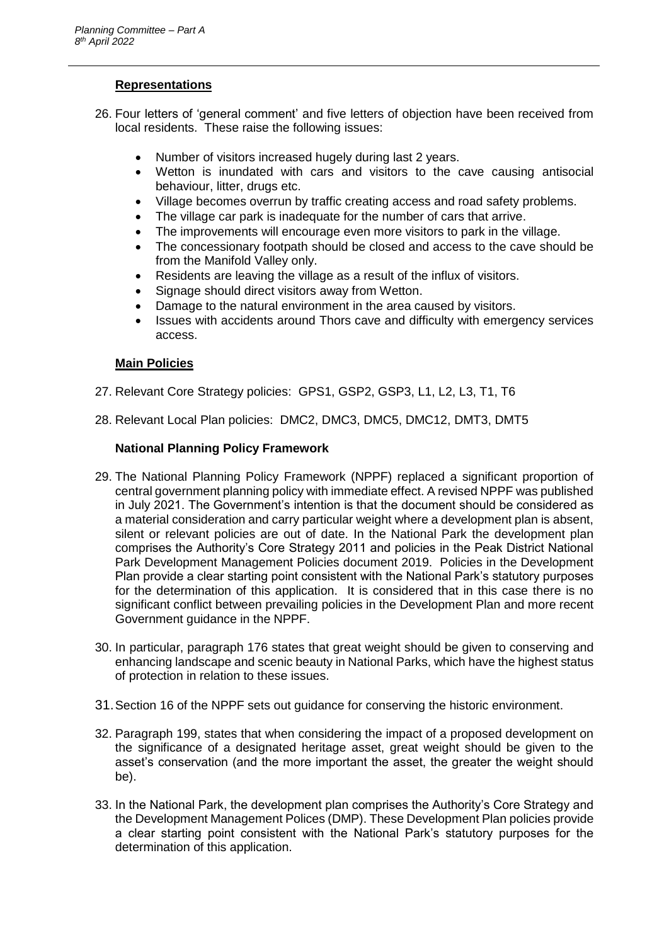## **Representations**

- 26. Four letters of 'general comment' and five letters of objection have been received from local residents. These raise the following issues:
	- Number of visitors increased hugely during last 2 years.
	- Wetton is inundated with cars and visitors to the cave causing antisocial behaviour, litter, drugs etc.
	- Village becomes overrun by traffic creating access and road safety problems.
	- The village car park is inadequate for the number of cars that arrive.
	- The improvements will encourage even more visitors to park in the village.
	- The concessionary footpath should be closed and access to the cave should be from the Manifold Valley only.
	- Residents are leaving the village as a result of the influx of visitors.
	- Signage should direct visitors away from Wetton.
	- Damage to the natural environment in the area caused by visitors.
	- Issues with accidents around Thors cave and difficulty with emergency services access.

### **Main Policies**

- 27. Relevant Core Strategy policies: GPS1, GSP2, GSP3, L1, L2, L3, T1, T6
- 28. Relevant Local Plan policies: DMC2, DMC3, DMC5, DMC12, DMT3, DMT5

# **National Planning Policy Framework**

- 29. The National Planning Policy Framework (NPPF) replaced a significant proportion of central government planning policy with immediate effect. A revised NPPF was published in July 2021. The Government's intention is that the document should be considered as a material consideration and carry particular weight where a development plan is absent, silent or relevant policies are out of date. In the National Park the development plan comprises the Authority's Core Strategy 2011 and policies in the Peak District National Park Development Management Policies document 2019. Policies in the Development Plan provide a clear starting point consistent with the National Park's statutory purposes for the determination of this application. It is considered that in this case there is no significant conflict between prevailing policies in the Development Plan and more recent Government guidance in the NPPF.
- 30. In particular, paragraph 176 states that great weight should be given to conserving and enhancing landscape and scenic beauty in National Parks, which have the highest status of protection in relation to these issues.
- 31.Section 16 of the NPPF sets out guidance for conserving the historic environment.
- 32. Paragraph 199, states that when considering the impact of a proposed development on the significance of a designated heritage asset, great weight should be given to the asset's conservation (and the more important the asset, the greater the weight should be).
- 33. In the National Park, the development plan comprises the Authority's Core Strategy and the Development Management Polices (DMP). These Development Plan policies provide a clear starting point consistent with the National Park's statutory purposes for the determination of this application.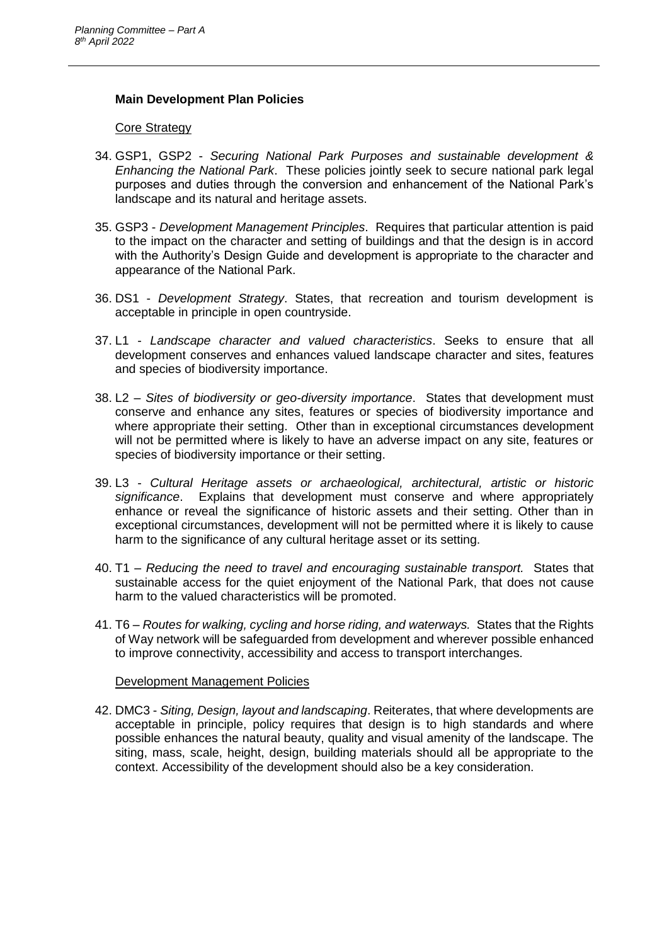### **Main Development Plan Policies**

#### Core Strategy

- 34. GSP1, GSP2 *Securing National Park Purposes and sustainable development & Enhancing the National Park*. These policies jointly seek to secure national park legal purposes and duties through the conversion and enhancement of the National Park's landscape and its natural and heritage assets.
- 35. GSP3 *Development Management Principles*. Requires that particular attention is paid to the impact on the character and setting of buildings and that the design is in accord with the Authority's Design Guide and development is appropriate to the character and appearance of the National Park.
- 36. DS1 *Development Strategy*. States, that recreation and tourism development is acceptable in principle in open countryside.
- 37. L1 *Landscape character and valued characteristics*. Seeks to ensure that all development conserves and enhances valued landscape character and sites, features and species of biodiversity importance.
- 38. L2 *Sites of biodiversity or geo-diversity importance*. States that development must conserve and enhance any sites, features or species of biodiversity importance and where appropriate their setting. Other than in exceptional circumstances development will not be permitted where is likely to have an adverse impact on any site, features or species of biodiversity importance or their setting.
- 39. L3 *Cultural Heritage assets or archaeological, architectural, artistic or historic significance*. Explains that development must conserve and where appropriately enhance or reveal the significance of historic assets and their setting. Other than in exceptional circumstances, development will not be permitted where it is likely to cause harm to the significance of any cultural heritage asset or its setting.
- 40. T1 *Reducing the need to travel and encouraging sustainable transport.* States that sustainable access for the quiet enjoyment of the National Park, that does not cause harm to the valued characteristics will be promoted.
- 41. T6 *Routes for walking, cycling and horse riding, and waterways.* States that the Rights of Way network will be safeguarded from development and wherever possible enhanced to improve connectivity, accessibility and access to transport interchanges.

#### Development Management Policies

42. DMC3 - *Siting, Design, layout and landscaping*. Reiterates, that where developments are acceptable in principle, policy requires that design is to high standards and where possible enhances the natural beauty, quality and visual amenity of the landscape. The siting, mass, scale, height, design, building materials should all be appropriate to the context. Accessibility of the development should also be a key consideration.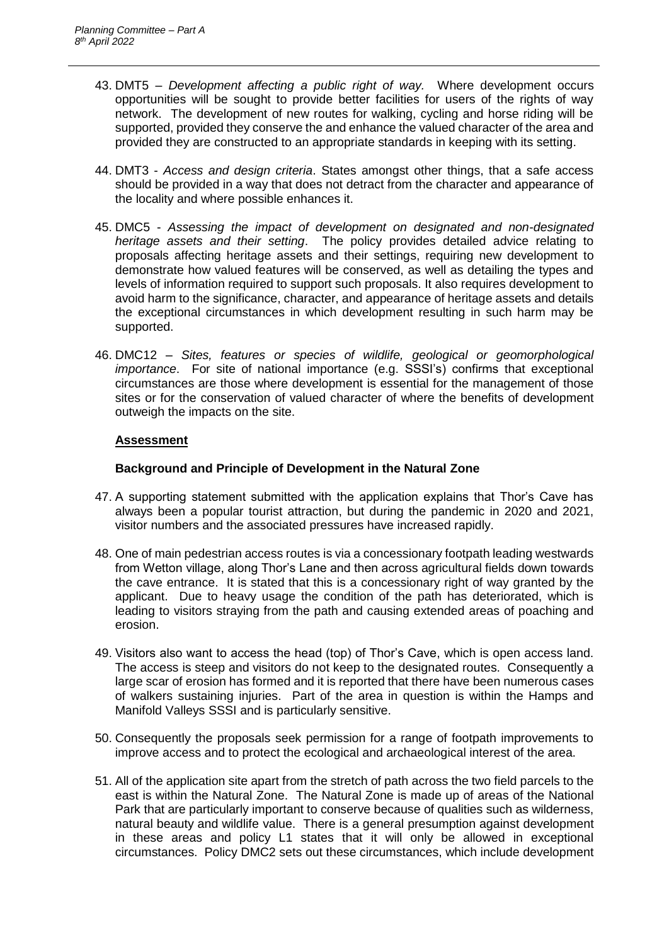- 43. DMT5 *Development affecting a public right of way.* Where development occurs opportunities will be sought to provide better facilities for users of the rights of way network. The development of new routes for walking, cycling and horse riding will be supported, provided they conserve the and enhance the valued character of the area and provided they are constructed to an appropriate standards in keeping with its setting.
- 44. DMT3 *Access and design criteria*. States amongst other things, that a safe access should be provided in a way that does not detract from the character and appearance of the locality and where possible enhances it.
- 45. DMC5 *Assessing the impact of development on designated and non-designated heritage assets and their setting*. The policy provides detailed advice relating to proposals affecting heritage assets and their settings, requiring new development to demonstrate how valued features will be conserved, as well as detailing the types and levels of information required to support such proposals. It also requires development to avoid harm to the significance, character, and appearance of heritage assets and details the exceptional circumstances in which development resulting in such harm may be supported.
- 46. DMC12 *Sites, features or species of wildlife, geological or geomorphological importance*. For site of national importance (e.g. SSSI's) confirms that exceptional circumstances are those where development is essential for the management of those sites or for the conservation of valued character of where the benefits of development outweigh the impacts on the site.

### **Assessment**

### **Background and Principle of Development in the Natural Zone**

- 47. A supporting statement submitted with the application explains that Thor's Cave has always been a popular tourist attraction, but during the pandemic in 2020 and 2021, visitor numbers and the associated pressures have increased rapidly.
- 48. One of main pedestrian access routes is via a concessionary footpath leading westwards from Wetton village, along Thor's Lane and then across agricultural fields down towards the cave entrance. It is stated that this is a concessionary right of way granted by the applicant. Due to heavy usage the condition of the path has deteriorated, which is leading to visitors straying from the path and causing extended areas of poaching and erosion.
- 49. Visitors also want to access the head (top) of Thor's Cave, which is open access land. The access is steep and visitors do not keep to the designated routes. Consequently a large scar of erosion has formed and it is reported that there have been numerous cases of walkers sustaining injuries. Part of the area in question is within the Hamps and Manifold Valleys SSSI and is particularly sensitive.
- 50. Consequently the proposals seek permission for a range of footpath improvements to improve access and to protect the ecological and archaeological interest of the area.
- 51. All of the application site apart from the stretch of path across the two field parcels to the east is within the Natural Zone. The Natural Zone is made up of areas of the National Park that are particularly important to conserve because of qualities such as wilderness, natural beauty and wildlife value. There is a general presumption against development in these areas and policy L1 states that it will only be allowed in exceptional circumstances. Policy DMC2 sets out these circumstances, which include development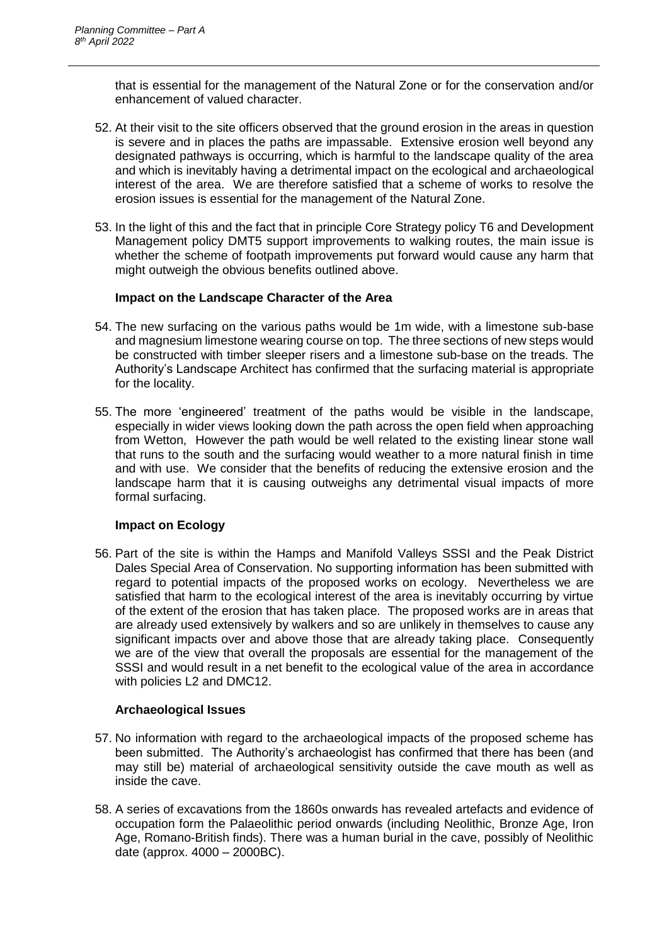that is essential for the management of the Natural Zone or for the conservation and/or enhancement of valued character.

- 52. At their visit to the site officers observed that the ground erosion in the areas in question is severe and in places the paths are impassable. Extensive erosion well beyond any designated pathways is occurring, which is harmful to the landscape quality of the area and which is inevitably having a detrimental impact on the ecological and archaeological interest of the area. We are therefore satisfied that a scheme of works to resolve the erosion issues is essential for the management of the Natural Zone.
- 53. In the light of this and the fact that in principle Core Strategy policy T6 and Development Management policy DMT5 support improvements to walking routes, the main issue is whether the scheme of footpath improvements put forward would cause any harm that might outweigh the obvious benefits outlined above.

### **Impact on the Landscape Character of the Area**

- 54. The new surfacing on the various paths would be 1m wide, with a limestone sub-base and magnesium limestone wearing course on top. The three sections of new steps would be constructed with timber sleeper risers and a limestone sub-base on the treads. The Authority's Landscape Architect has confirmed that the surfacing material is appropriate for the locality.
- 55. The more 'engineered' treatment of the paths would be visible in the landscape, especially in wider views looking down the path across the open field when approaching from Wetton, However the path would be well related to the existing linear stone wall that runs to the south and the surfacing would weather to a more natural finish in time and with use. We consider that the benefits of reducing the extensive erosion and the landscape harm that it is causing outweighs any detrimental visual impacts of more formal surfacing.

# **Impact on Ecology**

56. Part of the site is within the Hamps and Manifold Valleys SSSI and the Peak District Dales Special Area of Conservation. No supporting information has been submitted with regard to potential impacts of the proposed works on ecology. Nevertheless we are satisfied that harm to the ecological interest of the area is inevitably occurring by virtue of the extent of the erosion that has taken place. The proposed works are in areas that are already used extensively by walkers and so are unlikely in themselves to cause any significant impacts over and above those that are already taking place. Consequently we are of the view that overall the proposals are essential for the management of the SSSI and would result in a net benefit to the ecological value of the area in accordance with policies L2 and DMC12.

# **Archaeological Issues**

- 57. No information with regard to the archaeological impacts of the proposed scheme has been submitted. The Authority's archaeologist has confirmed that there has been (and may still be) material of archaeological sensitivity outside the cave mouth as well as inside the cave.
- 58. A series of excavations from the 1860s onwards has revealed artefacts and evidence of occupation form the Palaeolithic period onwards (including Neolithic, Bronze Age, Iron Age, Romano-British finds). There was a human burial in the cave, possibly of Neolithic date (approx. 4000 – 2000BC).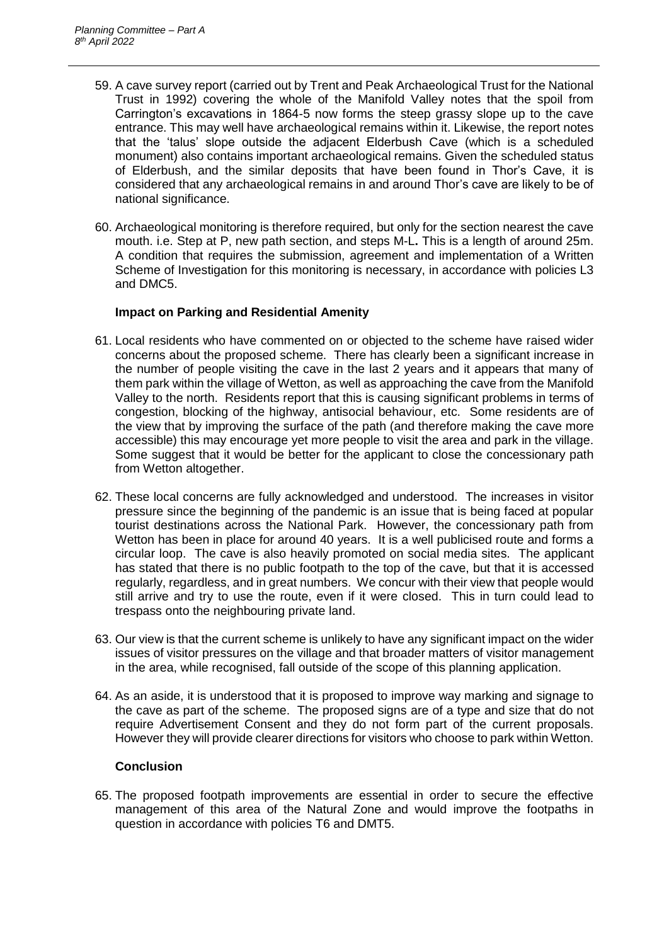- 59. A cave survey report (carried out by Trent and Peak Archaeological Trust for the National Trust in 1992) covering the whole of the Manifold Valley notes that the spoil from Carrington's excavations in 1864-5 now forms the steep grassy slope up to the cave entrance. This may well have archaeological remains within it. Likewise, the report notes that the 'talus' slope outside the adjacent Elderbush Cave (which is a scheduled monument) also contains important archaeological remains. Given the scheduled status of Elderbush, and the similar deposits that have been found in Thor's Cave, it is considered that any archaeological remains in and around Thor's cave are likely to be of national significance.
- 60. Archaeological monitoring is therefore required, but only for the section nearest the cave mouth. i.e. Step at P, new path section, and steps M-L**.** This is a length of around 25m. A condition that requires the submission, agreement and implementation of a Written Scheme of Investigation for this monitoring is necessary, in accordance with policies L3 and DMC5.

### **Impact on Parking and Residential Amenity**

- 61. Local residents who have commented on or objected to the scheme have raised wider concerns about the proposed scheme. There has clearly been a significant increase in the number of people visiting the cave in the last 2 years and it appears that many of them park within the village of Wetton, as well as approaching the cave from the Manifold Valley to the north. Residents report that this is causing significant problems in terms of congestion, blocking of the highway, antisocial behaviour, etc. Some residents are of the view that by improving the surface of the path (and therefore making the cave more accessible) this may encourage yet more people to visit the area and park in the village. Some suggest that it would be better for the applicant to close the concessionary path from Wetton altogether.
- 62. These local concerns are fully acknowledged and understood. The increases in visitor pressure since the beginning of the pandemic is an issue that is being faced at popular tourist destinations across the National Park. However, the concessionary path from Wetton has been in place for around 40 years. It is a well publicised route and forms a circular loop. The cave is also heavily promoted on social media sites. The applicant has stated that there is no public footpath to the top of the cave, but that it is accessed regularly, regardless, and in great numbers. We concur with their view that people would still arrive and try to use the route, even if it were closed. This in turn could lead to trespass onto the neighbouring private land.
- 63. Our view is that the current scheme is unlikely to have any significant impact on the wider issues of visitor pressures on the village and that broader matters of visitor management in the area, while recognised, fall outside of the scope of this planning application.
- 64. As an aside, it is understood that it is proposed to improve way marking and signage to the cave as part of the scheme. The proposed signs are of a type and size that do not require Advertisement Consent and they do not form part of the current proposals. However they will provide clearer directions for visitors who choose to park within Wetton.

# **Conclusion**

65. The proposed footpath improvements are essential in order to secure the effective management of this area of the Natural Zone and would improve the footpaths in question in accordance with policies T6 and DMT5.